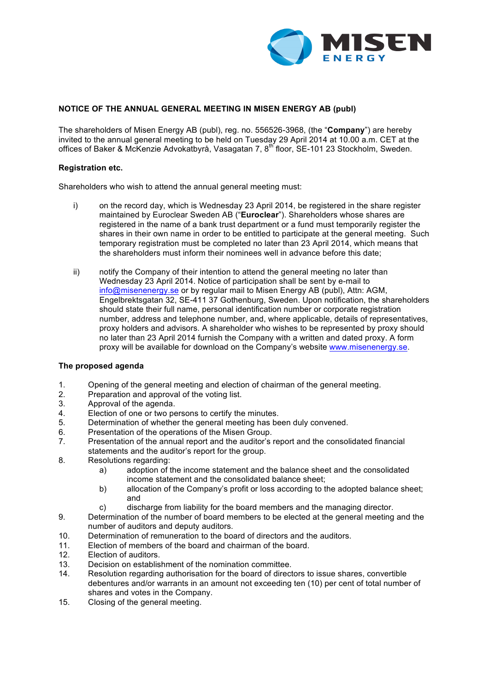

# **NOTICE OF THE ANNUAL GENERAL MEETING IN MISEN ENERGY AB (publ)**

The shareholders of Misen Energy AB (publ), reg. no. 556526-3968, (the "**Company**") are hereby invited to the annual general meeting to be held on Tuesday 29 April 2014 at 10.00 a.m. CET at the offices of Baker & McKenzie Advokatbyrå, Vasagatan 7, 8<sup>th f</sup>loor, SE-101 23 Stockholm, Sweden.

## **Registration etc.**

Shareholders who wish to attend the annual general meeting must:

- i) on the record day, which is Wednesday 23 April 2014, be registered in the share register maintained by Euroclear Sweden AB ("**Euroclear**"). Shareholders whose shares are registered in the name of a bank trust department or a fund must temporarily register the shares in their own name in order to be entitled to participate at the general meeting. Such temporary registration must be completed no later than 23 April 2014, which means that the shareholders must inform their nominees well in advance before this date;
- ii) notify the Company of their intention to attend the general meeting no later than Wednesday 23 April 2014. Notice of participation shall be sent by e-mail to info@misenenergy.se or by regular mail to Misen Energy AB (publ), Attn: AGM, Engelbrektsgatan 32, SE-411 37 Gothenburg, Sweden. Upon notification, the shareholders should state their full name, personal identification number or corporate registration number, address and telephone number, and, where applicable, details of representatives, proxy holders and advisors. A shareholder who wishes to be represented by proxy should no later than 23 April 2014 furnish the Company with a written and dated proxy. A form proxy will be available for download on the Company's website www.misenenergy.se.

# **The proposed agenda**

- 1. Opening of the general meeting and election of chairman of the general meeting.
- 2. Preparation and approval of the voting list.
- 3. Approval of the agenda.
- 4. Election of one or two persons to certify the minutes.
- 5. Determination of whether the general meeting has been duly convened.
- 6. Presentation of the operations of the Misen Group.<br>7. Presentation of the annual report and the auditor's
- Presentation of the annual report and the auditor's report and the consolidated financial statements and the auditor's report for the group.
- 8. Resolutions regarding:
	- a) adoption of the income statement and the balance sheet and the consolidated income statement and the consolidated balance sheet;
	- b) allocation of the Company's profit or loss according to the adopted balance sheet; and
	- c) discharge from liability for the board members and the managing director.
- 9. Determination of the number of board members to be elected at the general meeting and the number of auditors and deputy auditors.
- 10. Determination of remuneration to the board of directors and the auditors.
- 11. Election of members of the board and chairman of the board.
- 12. Election of auditors.
- 13. Decision on establishment of the nomination committee.
- 14. Resolution regarding authorisation for the board of directors to issue shares, convertible debentures and/or warrants in an amount not exceeding ten (10) per cent of total number of shares and votes in the Company.
- 15. Closing of the general meeting.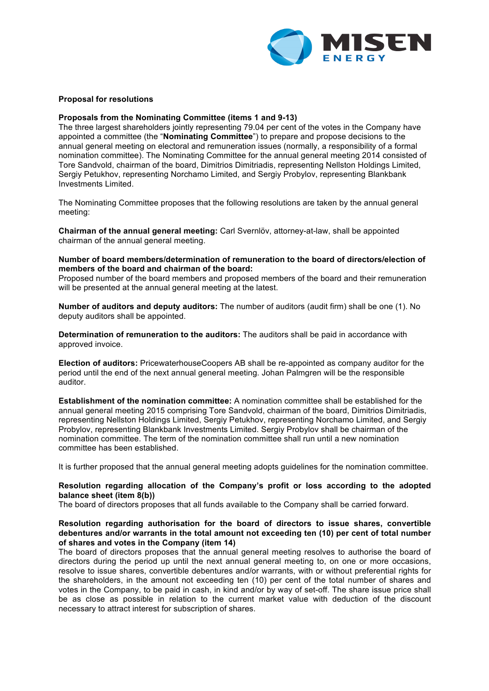

### **Proposal for resolutions**

### **Proposals from the Nominating Committee (items 1 and 9-13)**

The three largest shareholders jointly representing 79.04 per cent of the votes in the Company have appointed a committee (the "**Nominating Committee**") to prepare and propose decisions to the annual general meeting on electoral and remuneration issues (normally, a responsibility of a formal nomination committee). The Nominating Committee for the annual general meeting 2014 consisted of Tore Sandvold, chairman of the board, Dimitrios Dimitriadis, representing Nellston Holdings Limited, Sergiy Petukhov, representing Norchamo Limited, and Sergiy Probylov, representing Blankbank Investments Limited.

The Nominating Committee proposes that the following resolutions are taken by the annual general meeting:

**Chairman of the annual general meeting:** Carl Svernlöv, attorney-at-law, shall be appointed chairman of the annual general meeting.

### **Number of board members/determination of remuneration to the board of directors/election of members of the board and chairman of the board:**

Proposed number of the board members and proposed members of the board and their remuneration will be presented at the annual general meeting at the latest.

**Number of auditors and deputy auditors:** The number of auditors (audit firm) shall be one (1). No deputy auditors shall be appointed.

**Determination of remuneration to the auditors:** The auditors shall be paid in accordance with approved invoice.

**Election of auditors:** PricewaterhouseCoopers AB shall be re-appointed as company auditor for the period until the end of the next annual general meeting. Johan Palmgren will be the responsible auditor.

**Establishment of the nomination committee:** A nomination committee shall be established for the annual general meeting 2015 comprising Tore Sandvold, chairman of the board, Dimitrios Dimitriadis, representing Nellston Holdings Limited, Sergiy Petukhov, representing Norchamo Limited, and Sergiy Probylov, representing Blankbank Investments Limited. Sergiy Probylov shall be chairman of the nomination committee. The term of the nomination committee shall run until a new nomination committee has been established.

It is further proposed that the annual general meeting adopts guidelines for the nomination committee.

### **Resolution regarding allocation of the Company's profit or loss according to the adopted balance sheet (item 8(b))**

The board of directors proposes that all funds available to the Company shall be carried forward.

## **Resolution regarding authorisation for the board of directors to issue shares, convertible debentures and/or warrants in the total amount not exceeding ten (10) per cent of total number of shares and votes in the Company (item 14)**

The board of directors proposes that the annual general meeting resolves to authorise the board of directors during the period up until the next annual general meeting to, on one or more occasions, resolve to issue shares, convertible debentures and/or warrants, with or without preferential rights for the shareholders, in the amount not exceeding ten (10) per cent of the total number of shares and votes in the Company, to be paid in cash, in kind and/or by way of set-off. The share issue price shall be as close as possible in relation to the current market value with deduction of the discount necessary to attract interest for subscription of shares.